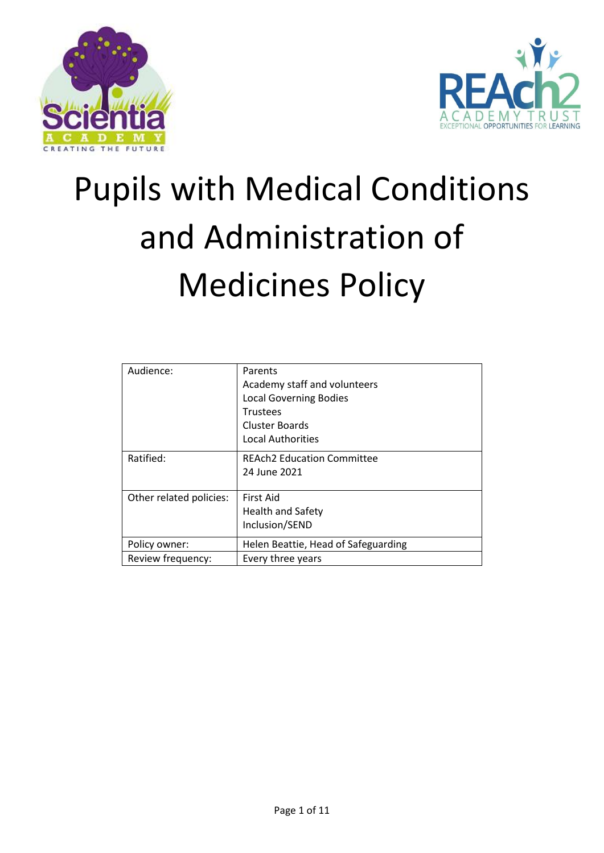



# Pupils with Medical Conditions and Administration of Medicines Policy

| Audience:               | Parents                             |  |  |  |  |
|-------------------------|-------------------------------------|--|--|--|--|
|                         | Academy staff and volunteers        |  |  |  |  |
|                         | <b>Local Governing Bodies</b>       |  |  |  |  |
|                         | <b>Trustees</b>                     |  |  |  |  |
|                         | <b>Cluster Boards</b>               |  |  |  |  |
|                         | <b>Local Authorities</b>            |  |  |  |  |
| Ratified:               | <b>REAch2 Education Committee</b>   |  |  |  |  |
|                         | 24 June 2021                        |  |  |  |  |
|                         |                                     |  |  |  |  |
| Other related policies: | First Aid                           |  |  |  |  |
|                         | <b>Health and Safety</b>            |  |  |  |  |
|                         | Inclusion/SEND                      |  |  |  |  |
| Policy owner:           | Helen Beattie, Head of Safeguarding |  |  |  |  |
| Review frequency:       | Every three years                   |  |  |  |  |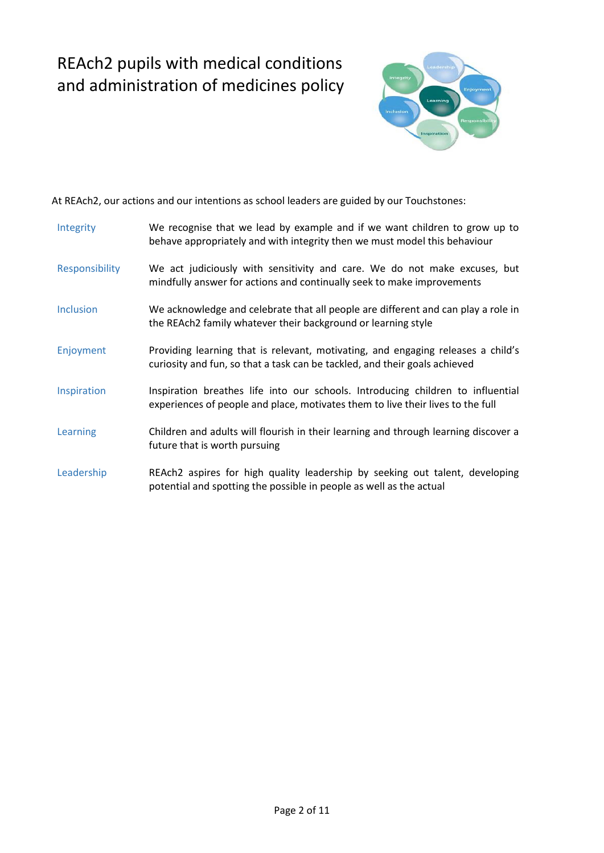## REAch2 pupils with medical conditions and administration of medicines policy



At REAch2, our actions and our intentions as school leaders are guided by our Touchstones:

| Integrity        | We recognise that we lead by example and if we want children to grow up to<br>behave appropriately and with integrity then we must model this behaviour            |
|------------------|--------------------------------------------------------------------------------------------------------------------------------------------------------------------|
| Responsibility   | We act judiciously with sensitivity and care. We do not make excuses, but<br>mindfully answer for actions and continually seek to make improvements                |
| <b>Inclusion</b> | We acknowledge and celebrate that all people are different and can play a role in<br>the REAch2 family whatever their background or learning style                 |
| Enjoyment        | Providing learning that is relevant, motivating, and engaging releases a child's<br>curiosity and fun, so that a task can be tackled, and their goals achieved     |
| Inspiration      | Inspiration breathes life into our schools. Introducing children to influential<br>experiences of people and place, motivates them to live their lives to the full |
| Learning         | Children and adults will flourish in their learning and through learning discover a<br>future that is worth pursuing                                               |
| Leadership       | REAch2 aspires for high quality leadership by seeking out talent, developing<br>potential and spotting the possible in people as well as the actual                |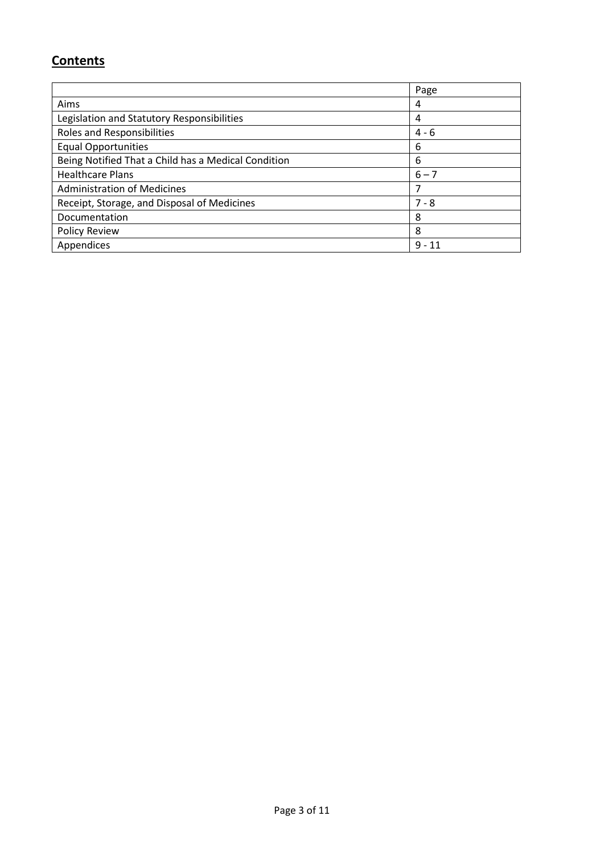### **Contents**

|                                                     | Page     |
|-----------------------------------------------------|----------|
| Aims                                                | 4        |
| Legislation and Statutory Responsibilities          | 4        |
| Roles and Responsibilities                          | $4 - 6$  |
| <b>Equal Opportunities</b>                          | 6        |
| Being Notified That a Child has a Medical Condition | 6        |
| <b>Healthcare Plans</b>                             | $6 - 7$  |
| <b>Administration of Medicines</b>                  | 7        |
| Receipt, Storage, and Disposal of Medicines         | $7 - 8$  |
| Documentation                                       | 8        |
| <b>Policy Review</b>                                | 8        |
| Appendices                                          | $9 - 11$ |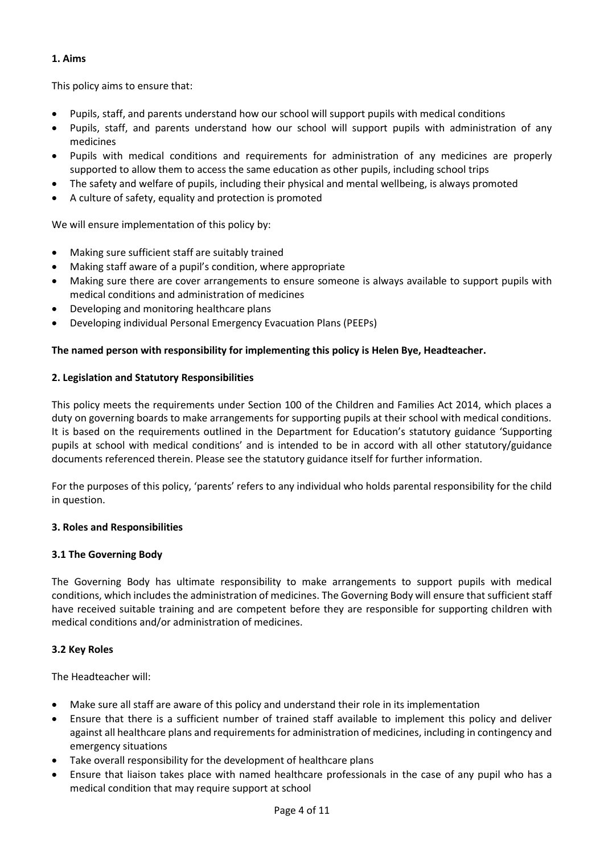#### **1. Aims**

This policy aims to ensure that:

- Pupils, staff, and parents understand how our school will support pupils with medical conditions
- Pupils, staff, and parents understand how our school will support pupils with administration of any medicines
- Pupils with medical conditions and requirements for administration of any medicines are properly supported to allow them to access the same education as other pupils, including school trips
- The safety and welfare of pupils, including their physical and mental wellbeing, is always promoted
- A culture of safety, equality and protection is promoted

We will ensure implementation of this policy by:

- Making sure sufficient staff are suitably trained
- Making staff aware of a pupil's condition, where appropriate
- Making sure there are cover arrangements to ensure someone is always available to support pupils with medical conditions and administration of medicines
- Developing and monitoring healthcare plans
- Developing individual Personal Emergency Evacuation Plans (PEEPs)

#### **The named person with responsibility for implementing this policy is Helen Bye, Headteacher.**

#### **2. Legislation and Statutory Responsibilities**

This policy meets the requirements under Section 100 of the Children and Families Act 2014, which places a duty on governing boards to make arrangements for supporting pupils at their school with medical conditions. It is based on the requirements outlined in the Department for Education's statutory guidance 'Supporting pupils at school with medical conditions' and is intended to be in accord with all other statutory/guidance documents referenced therein. Please see the statutory guidance itself for further information.

For the purposes of this policy, 'parents' refers to any individual who holds parental responsibility for the child in question.

#### **3. Roles and Responsibilities**

#### **3.1 The Governing Body**

The Governing Body has ultimate responsibility to make arrangements to support pupils with medical conditions, which includes the administration of medicines. The Governing Body will ensure that sufficient staff have received suitable training and are competent before they are responsible for supporting children with medical conditions and/or administration of medicines.

#### **3.2 Key Roles**

The Headteacher will:

- Make sure all staff are aware of this policy and understand their role in its implementation
- Ensure that there is a sufficient number of trained staff available to implement this policy and deliver against all healthcare plans and requirements for administration of medicines, including in contingency and emergency situations
- Take overall responsibility for the development of healthcare plans
- Ensure that liaison takes place with named healthcare professionals in the case of any pupil who has a medical condition that may require support at school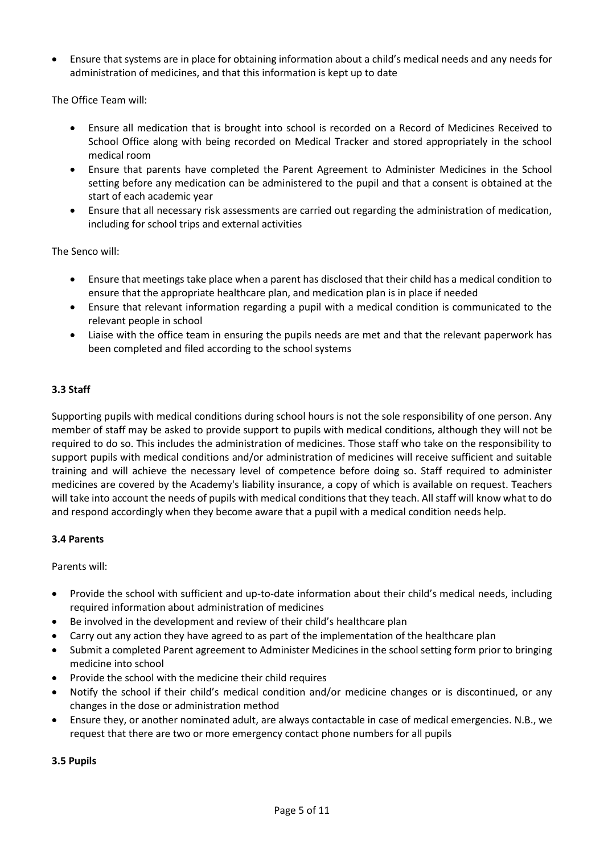• Ensure that systems are in place for obtaining information about a child's medical needs and any needs for administration of medicines, and that this information is kept up to date

The Office Team will:

- Ensure all medication that is brought into school is recorded on a Record of Medicines Received to School Office along with being recorded on Medical Tracker and stored appropriately in the school medical room
- Ensure that parents have completed the Parent Agreement to Administer Medicines in the School setting before any medication can be administered to the pupil and that a consent is obtained at the start of each academic year
- Ensure that all necessary risk assessments are carried out regarding the administration of medication, including for school trips and external activities

The Senco will:

- Ensure that meetings take place when a parent has disclosed that their child has a medical condition to ensure that the appropriate healthcare plan, and medication plan is in place if needed
- Ensure that relevant information regarding a pupil with a medical condition is communicated to the relevant people in school
- Liaise with the office team in ensuring the pupils needs are met and that the relevant paperwork has been completed and filed according to the school systems

#### **3.3 Staff**

Supporting pupils with medical conditions during school hours is not the sole responsibility of one person. Any member of staff may be asked to provide support to pupils with medical conditions, although they will not be required to do so. This includes the administration of medicines. Those staff who take on the responsibility to support pupils with medical conditions and/or administration of medicines will receive sufficient and suitable training and will achieve the necessary level of competence before doing so. Staff required to administer medicines are covered by the Academy's liability insurance, a copy of which is available on request. Teachers will take into account the needs of pupils with medical conditions that they teach. All staff will know what to do and respond accordingly when they become aware that a pupil with a medical condition needs help.

#### **3.4 Parents**

Parents will:

- Provide the school with sufficient and up-to-date information about their child's medical needs, including required information about administration of medicines
- Be involved in the development and review of their child's healthcare plan
- Carry out any action they have agreed to as part of the implementation of the healthcare plan
- Submit a completed Parent agreement to Administer Medicines in the school setting form prior to bringing medicine into school
- Provide the school with the medicine their child requires
- Notify the school if their child's medical condition and/or medicine changes or is discontinued, or any changes in the dose or administration method
- Ensure they, or another nominated adult, are always contactable in case of medical emergencies. N.B., we request that there are two or more emergency contact phone numbers for all pupils

**3.5 Pupils**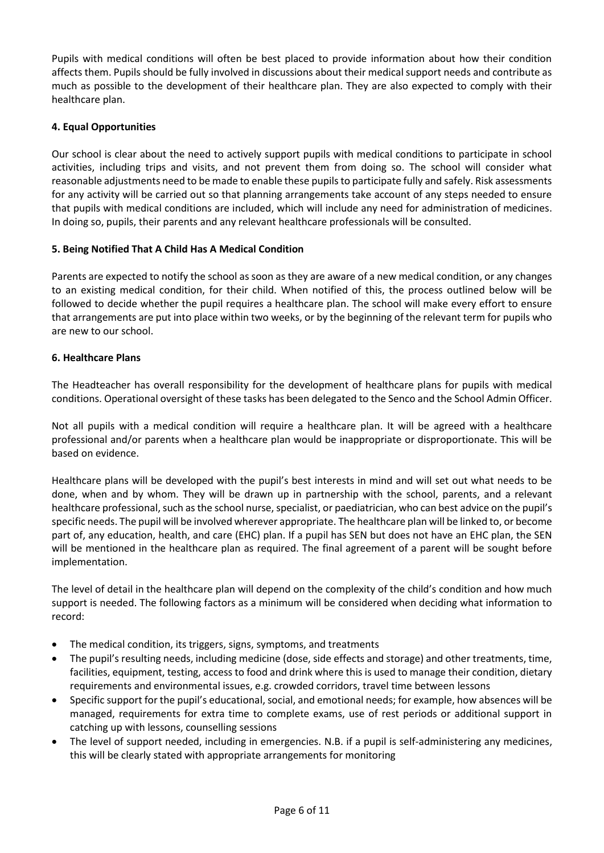Pupils with medical conditions will often be best placed to provide information about how their condition affects them. Pupils should be fully involved in discussions about their medical support needs and contribute as much as possible to the development of their healthcare plan. They are also expected to comply with their healthcare plan.

#### **4. Equal Opportunities**

Our school is clear about the need to actively support pupils with medical conditions to participate in school activities, including trips and visits, and not prevent them from doing so. The school will consider what reasonable adjustments need to be made to enable these pupils to participate fully and safely. Risk assessments for any activity will be carried out so that planning arrangements take account of any steps needed to ensure that pupils with medical conditions are included, which will include any need for administration of medicines. In doing so, pupils, their parents and any relevant healthcare professionals will be consulted.

#### **5. Being Notified That A Child Has A Medical Condition**

Parents are expected to notify the school as soon as they are aware of a new medical condition, or any changes to an existing medical condition, for their child. When notified of this, the process outlined below will be followed to decide whether the pupil requires a healthcare plan. The school will make every effort to ensure that arrangements are put into place within two weeks, or by the beginning of the relevant term for pupils who are new to our school.

#### **6. Healthcare Plans**

The Headteacher has overall responsibility for the development of healthcare plans for pupils with medical conditions. Operational oversight of these tasks has been delegated to the Senco and the School Admin Officer.

Not all pupils with a medical condition will require a healthcare plan. It will be agreed with a healthcare professional and/or parents when a healthcare plan would be inappropriate or disproportionate. This will be based on evidence.

Healthcare plans will be developed with the pupil's best interests in mind and will set out what needs to be done, when and by whom. They will be drawn up in partnership with the school, parents, and a relevant healthcare professional, such as the school nurse, specialist, or paediatrician, who can best advice on the pupil's specific needs. The pupil will be involved wherever appropriate. The healthcare plan will be linked to, or become part of, any education, health, and care (EHC) plan. If a pupil has SEN but does not have an EHC plan, the SEN will be mentioned in the healthcare plan as required. The final agreement of a parent will be sought before implementation.

The level of detail in the healthcare plan will depend on the complexity of the child's condition and how much support is needed. The following factors as a minimum will be considered when deciding what information to record:

- The medical condition, its triggers, signs, symptoms, and treatments
- The pupil's resulting needs, including medicine (dose, side effects and storage) and other treatments, time, facilities, equipment, testing, access to food and drink where this is used to manage their condition, dietary requirements and environmental issues, e.g. crowded corridors, travel time between lessons
- Specific support for the pupil's educational, social, and emotional needs; for example, how absences will be managed, requirements for extra time to complete exams, use of rest periods or additional support in catching up with lessons, counselling sessions
- The level of support needed, including in emergencies. N.B. if a pupil is self-administering any medicines, this will be clearly stated with appropriate arrangements for monitoring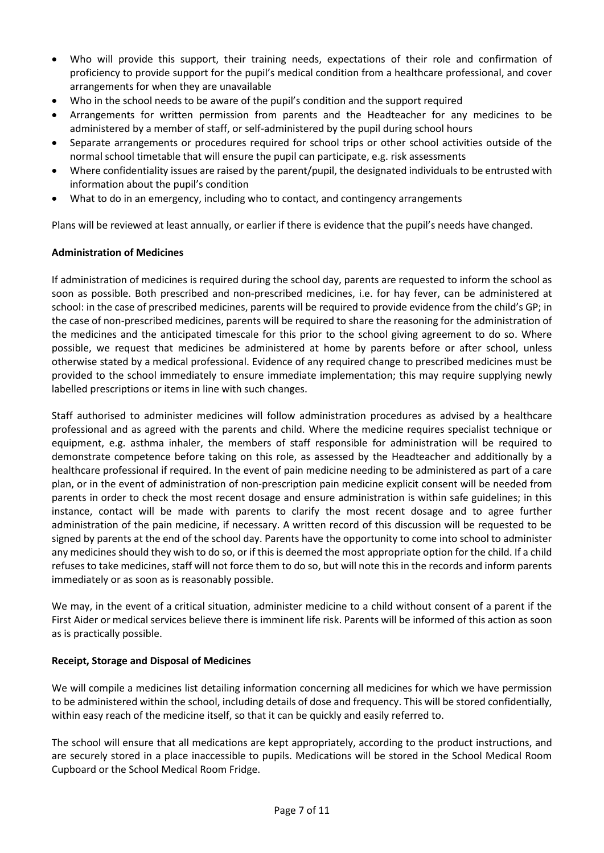- Who will provide this support, their training needs, expectations of their role and confirmation of proficiency to provide support for the pupil's medical condition from a healthcare professional, and cover arrangements for when they are unavailable
- Who in the school needs to be aware of the pupil's condition and the support required
- Arrangements for written permission from parents and the Headteacher for any medicines to be administered by a member of staff, or self-administered by the pupil during school hours
- Separate arrangements or procedures required for school trips or other school activities outside of the normal school timetable that will ensure the pupil can participate, e.g. risk assessments
- Where confidentiality issues are raised by the parent/pupil, the designated individuals to be entrusted with information about the pupil's condition
- What to do in an emergency, including who to contact, and contingency arrangements

Plans will be reviewed at least annually, or earlier if there is evidence that the pupil's needs have changed.

#### **Administration of Medicines**

If administration of medicines is required during the school day, parents are requested to inform the school as soon as possible. Both prescribed and non-prescribed medicines, i.e. for hay fever, can be administered at school: in the case of prescribed medicines, parents will be required to provide evidence from the child's GP; in the case of non-prescribed medicines, parents will be required to share the reasoning for the administration of the medicines and the anticipated timescale for this prior to the school giving agreement to do so. Where possible, we request that medicines be administered at home by parents before or after school, unless otherwise stated by a medical professional. Evidence of any required change to prescribed medicines must be provided to the school immediately to ensure immediate implementation; this may require supplying newly labelled prescriptions or items in line with such changes.

Staff authorised to administer medicines will follow administration procedures as advised by a healthcare professional and as agreed with the parents and child. Where the medicine requires specialist technique or equipment, e.g. asthma inhaler, the members of staff responsible for administration will be required to demonstrate competence before taking on this role, as assessed by the Headteacher and additionally by a healthcare professional if required. In the event of pain medicine needing to be administered as part of a care plan, or in the event of administration of non-prescription pain medicine explicit consent will be needed from parents in order to check the most recent dosage and ensure administration is within safe guidelines; in this instance, contact will be made with parents to clarify the most recent dosage and to agree further administration of the pain medicine, if necessary. A written record of this discussion will be requested to be signed by parents at the end of the school day. Parents have the opportunity to come into school to administer any medicines should they wish to do so, or if this is deemed the most appropriate option for the child. If a child refuses to take medicines, staff will not force them to do so, but will note this in the records and inform parents immediately or as soon as is reasonably possible.

We may, in the event of a critical situation, administer medicine to a child without consent of a parent if the First Aider or medical services believe there is imminent life risk. Parents will be informed of this action as soon as is practically possible.

#### **Receipt, Storage and Disposal of Medicines**

We will compile a medicines list detailing information concerning all medicines for which we have permission to be administered within the school, including details of dose and frequency. This will be stored confidentially, within easy reach of the medicine itself, so that it can be quickly and easily referred to.

The school will ensure that all medications are kept appropriately, according to the product instructions, and are securely stored in a place inaccessible to pupils. Medications will be stored in the School Medical Room Cupboard or the School Medical Room Fridge.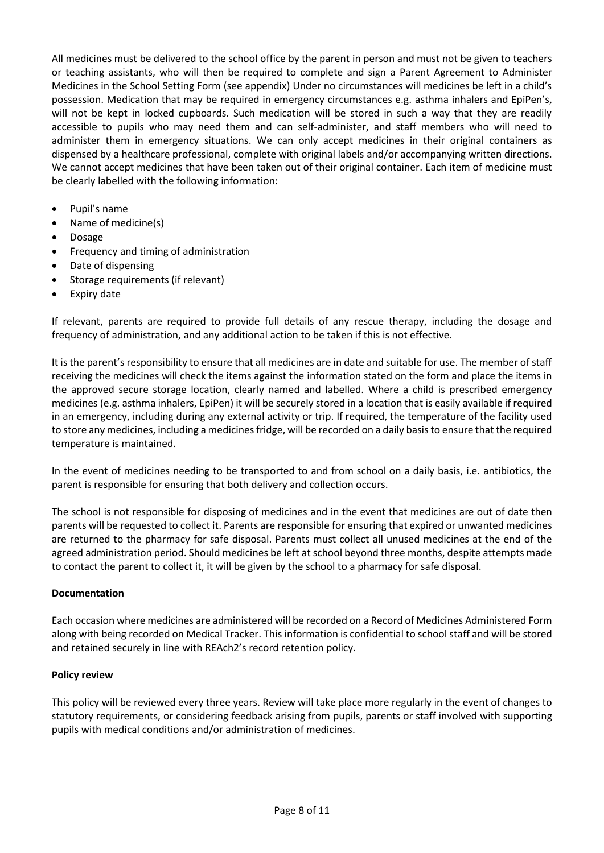All medicines must be delivered to the school office by the parent in person and must not be given to teachers or teaching assistants, who will then be required to complete and sign a Parent Agreement to Administer Medicines in the School Setting Form (see appendix) Under no circumstances will medicines be left in a child's possession. Medication that may be required in emergency circumstances e.g. asthma inhalers and EpiPen's, will not be kept in locked cupboards. Such medication will be stored in such a way that they are readily accessible to pupils who may need them and can self-administer, and staff members who will need to administer them in emergency situations. We can only accept medicines in their original containers as dispensed by a healthcare professional, complete with original labels and/or accompanying written directions. We cannot accept medicines that have been taken out of their original container. Each item of medicine must be clearly labelled with the following information:

- Pupil's name
- Name of medicine(s)
- Dosage
- Frequency and timing of administration
- Date of dispensing
- Storage requirements (if relevant)
- **Expiry date**

If relevant, parents are required to provide full details of any rescue therapy, including the dosage and frequency of administration, and any additional action to be taken if this is not effective.

It is the parent's responsibility to ensure that all medicines are in date and suitable for use. The member of staff receiving the medicines will check the items against the information stated on the form and place the items in the approved secure storage location, clearly named and labelled. Where a child is prescribed emergency medicines (e.g. asthma inhalers, EpiPen) it will be securely stored in a location that is easily available if required in an emergency, including during any external activity or trip. If required, the temperature of the facility used to store any medicines, including a medicines fridge, will be recorded on a daily basisto ensure that the required temperature is maintained.

In the event of medicines needing to be transported to and from school on a daily basis, i.e. antibiotics, the parent is responsible for ensuring that both delivery and collection occurs.

The school is not responsible for disposing of medicines and in the event that medicines are out of date then parents will be requested to collect it. Parents are responsible for ensuring that expired or unwanted medicines are returned to the pharmacy for safe disposal. Parents must collect all unused medicines at the end of the agreed administration period. Should medicines be left at school beyond three months, despite attempts made to contact the parent to collect it, it will be given by the school to a pharmacy for safe disposal.

#### **Documentation**

Each occasion where medicines are administered will be recorded on a Record of Medicines Administered Form along with being recorded on Medical Tracker. This information is confidential to school staff and will be stored and retained securely in line with REAch2's record retention policy.

#### **Policy review**

This policy will be reviewed every three years. Review will take place more regularly in the event of changes to statutory requirements, or considering feedback arising from pupils, parents or staff involved with supporting pupils with medical conditions and/or administration of medicines.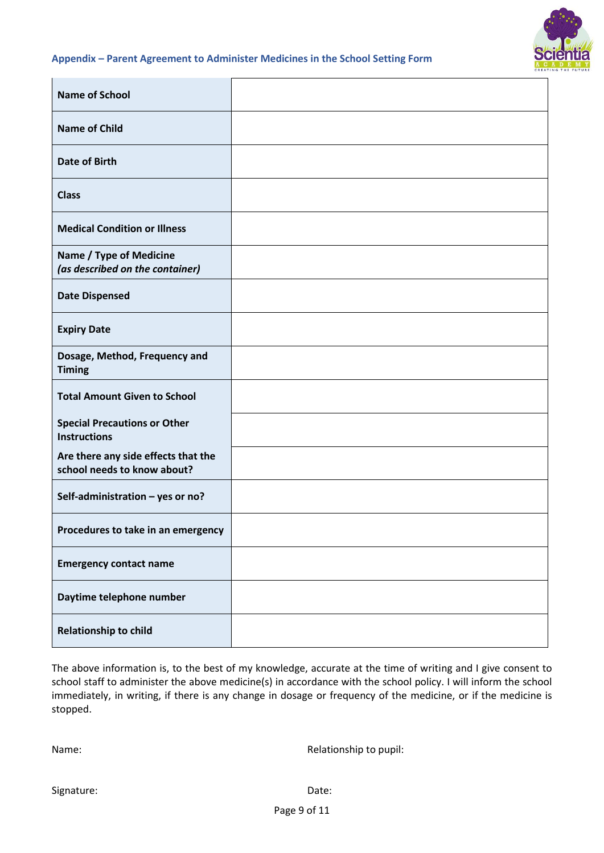

#### **Appendix – Parent Agreement to Administer Medicines in the School Setting Form**

| <b>Name of School</b>                                              |  |
|--------------------------------------------------------------------|--|
| <b>Name of Child</b>                                               |  |
| <b>Date of Birth</b>                                               |  |
| <b>Class</b>                                                       |  |
| <b>Medical Condition or Illness</b>                                |  |
| Name / Type of Medicine<br>(as described on the container)         |  |
| <b>Date Dispensed</b>                                              |  |
| <b>Expiry Date</b>                                                 |  |
| Dosage, Method, Frequency and<br><b>Timing</b>                     |  |
| <b>Total Amount Given to School</b>                                |  |
| <b>Special Precautions or Other</b><br><b>Instructions</b>         |  |
| Are there any side effects that the<br>school needs to know about? |  |
| Self-administration - yes or no?                                   |  |
| Procedures to take in an emergency                                 |  |
| <b>Emergency contact name</b>                                      |  |
| Daytime telephone number                                           |  |
| <b>Relationship to child</b>                                       |  |

The above information is, to the best of my knowledge, accurate at the time of writing and I give consent to school staff to administer the above medicine(s) in accordance with the school policy. I will inform the school immediately, in writing, if there is any change in dosage or frequency of the medicine, or if the medicine is stopped.

Name: Name: Relationship to pupil: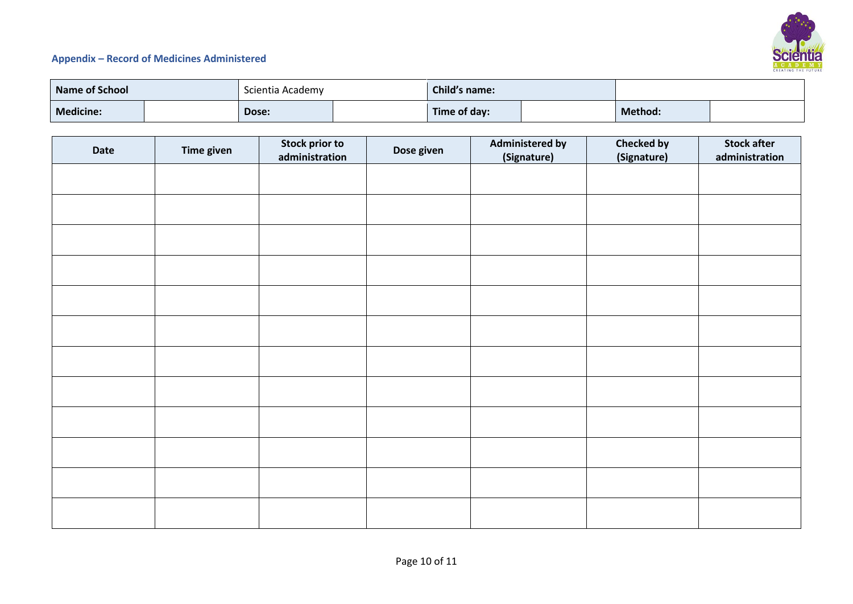

#### **Appendix – Record of Medicines Administered**

| <b>Name of School</b> |  | Scientia Academy |  | Child's name: |  |         |  |
|-----------------------|--|------------------|--|---------------|--|---------|--|
| Medicine:             |  | Dose:            |  | Time of day:  |  | Method: |  |

| Date | <b>Time given</b> | Stock prior to<br>administration | Dose given | <b>Administered by</b><br>(Signature) | <b>Checked by</b><br>(Signature) | <b>Stock after</b><br>administration |
|------|-------------------|----------------------------------|------------|---------------------------------------|----------------------------------|--------------------------------------|
|      |                   |                                  |            |                                       |                                  |                                      |
|      |                   |                                  |            |                                       |                                  |                                      |
|      |                   |                                  |            |                                       |                                  |                                      |
|      |                   |                                  |            |                                       |                                  |                                      |
|      |                   |                                  |            |                                       |                                  |                                      |
|      |                   |                                  |            |                                       |                                  |                                      |
|      |                   |                                  |            |                                       |                                  |                                      |
|      |                   |                                  |            |                                       |                                  |                                      |
|      |                   |                                  |            |                                       |                                  |                                      |
|      |                   |                                  |            |                                       |                                  |                                      |
|      |                   |                                  |            |                                       |                                  |                                      |
|      |                   |                                  |            |                                       |                                  |                                      |